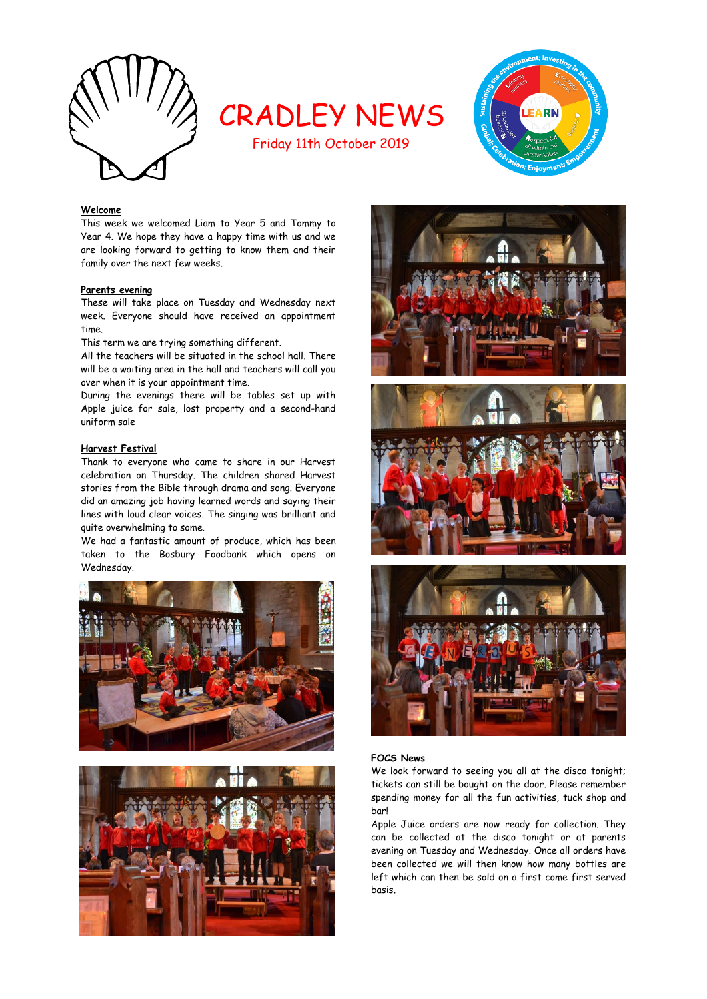

# CRADLEY NEWS

Friday 11th October 2019



# **Welcome**

This week we welcomed Liam to Year 5 and Tommy to Year 4. We hope they have a happy time with us and we are looking forward to getting to know them and their family over the next few weeks.

## **Parents evening**

These will take place on Tuesday and Wednesday next week. Everyone should have received an appointment time.

This term we are trying something different.

All the teachers will be situated in the school hall. There will be a waiting area in the hall and teachers will call you over when it is your appointment time.

During the evenings there will be tables set up with Apple juice for sale, lost property and a second-hand uniform sale

## **Harvest Festival**

Thank to everyone who came to share in our Harvest celebration on Thursday. The children shared Harvest stories from the Bible through drama and song. Everyone did an amazing job having learned words and saying their lines with loud clear voices. The singing was brilliant and quite overwhelming to some.

We had a fantastic amount of produce, which has been taken to the Bosbury Foodbank which opens on Wednesday.











## **FOCS News**

We look forward to seeing you all at the disco tonight; tickets can still be bought on the door. Please remember spending money for all the fun activities, tuck shop and bar!

Apple Juice orders are now ready for collection. They can be collected at the disco tonight or at parents evening on Tuesday and Wednesday. Once all orders have been collected we will then know how many bottles are left which can then be sold on a first come first served basis.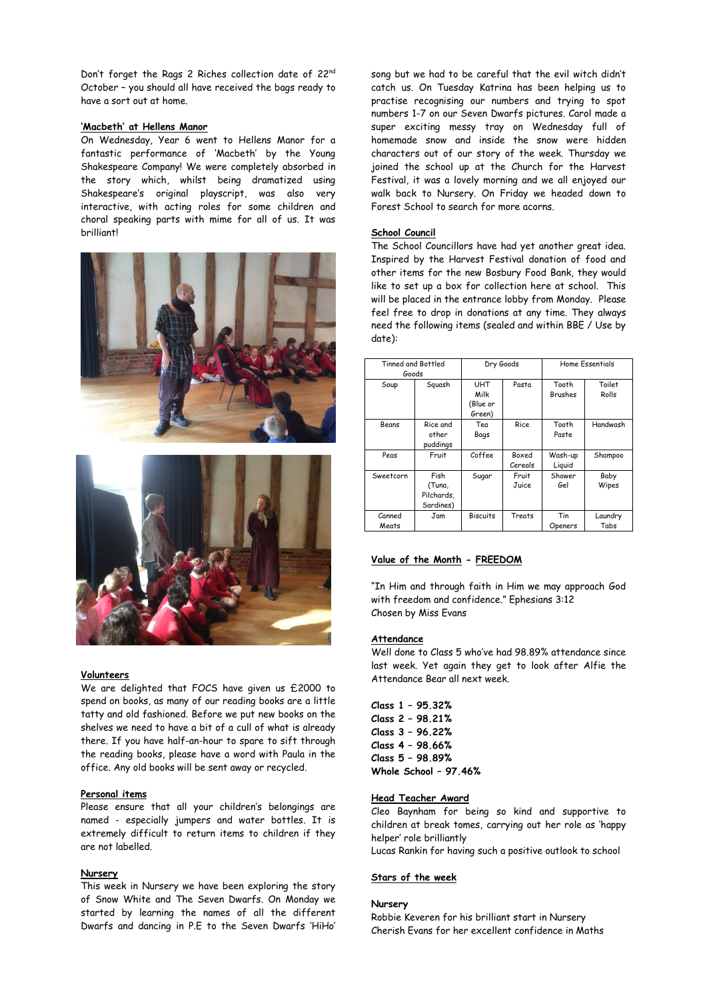Don't forget the Rags 2 Riches collection date of 22<sup>nd</sup> October – you should all have received the bags ready to have a sort out at home.

## **'Macbeth' at Hellens Manor**

On Wednesday, Year 6 went to Hellens Manor for a fantastic performance of 'Macbeth' by the Young Shakespeare Company! We were completely absorbed in the story which, whilst being dramatized using Shakespeare's original playscript, was also very interactive, with acting roles for some children and choral speaking parts with mime for all of us. It was brilliant!





## **Volunteers**

We are delighted that FOCS have given us £2000 to spend on books, as many of our reading books are a little tatty and old fashioned. Before we put new books on the shelves we need to have a bit of a cull of what is already there. If you have half-an-hour to spare to sift through the reading books, please have a word with Paula in the office. Any old books will be sent away or recycled.

### **Personal items**

Please ensure that all your children's belongings are named - especially jumpers and water bottles. It is extremely difficult to return items to children if they are not labelled.

## **Nursery**

This week in Nursery we have been exploring the story of Snow White and The Seven Dwarfs. On Monday we started by learning the names of all the different Dwarfs and dancing in P.E to the Seven Dwarfs 'HiHo' song but we had to be careful that the evil witch didn't catch us. On Tuesday Katrina has been helping us to practise recognising our numbers and trying to spot numbers 1-7 on our Seven Dwarfs pictures. Carol made a super exciting messy tray on Wednesday full of homemade snow and inside the snow were hidden characters out of our story of the week. Thursday we joined the school up at the Church for the Harvest Festival, it was a lovely morning and we all enjoyed our walk back to Nursery. On Friday we headed down to Forest School to search for more acorns.

## **School Council**

The School Councillors have had yet another great idea. Inspired by the Harvest Festival donation of food and other items for the new Bosbury Food Bank, they would like to set up a box for collection here at school. This will be placed in the entrance lobby from Monday. Please feel free to drop in donations at any time. They always need the following items (sealed and within BBE / Use by date):

|  | <b>Tinned and Bottled</b><br>Goods |            | Dry Goods       |             | <b>Home Essentials</b> |          |
|--|------------------------------------|------------|-----------------|-------------|------------------------|----------|
|  |                                    |            |                 |             |                        |          |
|  | Soup                               | Squash     | <b>UHT</b>      | Pasta       | Tooth                  | Toilet   |
|  |                                    |            | Milk            |             | Brushes                | Rolls    |
|  |                                    |            | (Blue or        |             |                        |          |
|  |                                    |            | Green)          |             |                        |          |
|  | Beans                              | Rice and   | Tea             | <b>Rice</b> | Tooth                  | Handwash |
|  |                                    | other      | Bags            |             | Paste                  |          |
|  |                                    | puddings   |                 |             |                        |          |
|  | Peas                               | Fruit      | Coffee          | Boxed       | Wash-up                | Shampoo  |
|  |                                    |            |                 | Cereals     | Liguid                 |          |
|  | Sweetcorn                          | Fish       | Sugar           | Fruit       | Shower                 | Baby     |
|  |                                    | (Tuna,     |                 | Juice       | Gel                    | Wipes    |
|  |                                    | Pilchards, |                 |             |                        |          |
|  |                                    | Sardines)  |                 |             |                        |          |
|  | Canned                             | Jam        | <b>Biscuits</b> | Treats      | Tin                    | Laundry  |
|  | Meats                              |            |                 |             | Openers                | Tabs     |

# **Value of the Month - FREEDOM**

"In Him and through faith in Him we may approach God with freedom and confidence." Ephesians 3:12 Chosen by Miss Evans

## **Attendance**

Well done to Class 5 who've had 98.89% attendance since last week. Yet again they get to look after Alfie the Attendance Bear all next week.

**Class 1 – 95.32% Class 2 – 98.21% Class 3 – 96.22% Class 4 – 98.66% Class 5 – 98.89% Whole School – 97.46%**

### **Head Teacher Award**

Cleo Baynham for being so kind and supportive to children at break tomes, carrying out her role as 'happy helper' role brilliantly

Lucas Rankin for having such a positive outlook to school

# **Stars of the week**

## **Nursery**

Robbie Keveren for his brilliant start in Nursery Cherish Evans for her excellent confidence in Maths